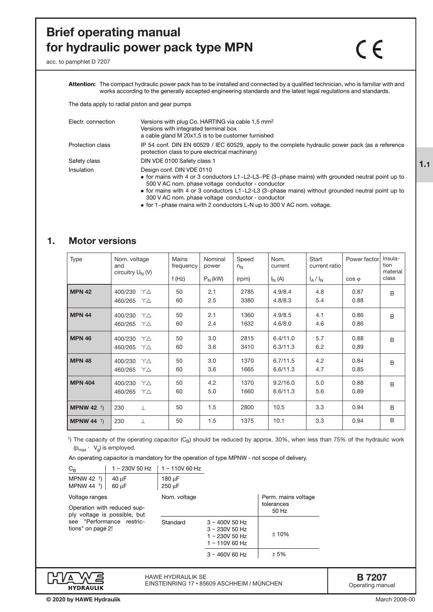# **Brief operating manual for hydraulic power pack type MPN**

 $\mathcal{C}\in$ 

acc. to pamphlet D 7207

**Attention:** The compact hydraulic power pack has to be installed and connected by a qualified technician, who is familiar with and works according to the generally accepted engineering standards and the latest legal regulations and standards.

The data apply to radial piston and gear pumps

| Electr. connection      | Versions with plug Co. HARTING via cable 1,5 mm <sup>2</sup><br>Versions with integrated terminal box                                                                                                                                                                                                                                                              |
|-------------------------|--------------------------------------------------------------------------------------------------------------------------------------------------------------------------------------------------------------------------------------------------------------------------------------------------------------------------------------------------------------------|
|                         | a cable gland M 20x1,5 is to be customer furnished                                                                                                                                                                                                                                                                                                                 |
| <b>Protection class</b> | IP 54 conf. DIN EN 60529 / IEC 60529, apply to the complete hydraulic power pack (as a reference<br>protection class to pure electrical machinery)                                                                                                                                                                                                                 |
| Safety class            | DIN VDE 0100 Safety class 1                                                                                                                                                                                                                                                                                                                                        |
| Insulation              | Design conf. DIN VDE 0110<br>• for mains with 4 or 3 conductors $L1 \sim L2 - L3 \sim PE$ (3~phase mains) with grounded neutral point up to<br>500 V AC nom. phase voltage conductor - conductor<br>• for mains with 4 or 3 conductors $L1 \sim L2 - L3$ (3~phase mains) without grounded neutral point up to<br>300 V AC nom. phase voltage conductor - conductor |

• for 1~phase mains with 2 conductors L-N up to 300 V AC nom. voltage.

# **1. Motor versions**

| Type               | Nom. voltage<br>and<br>circuitry $U_N$ (V) | Mains<br>frequency<br>f(Hz) | Nominal<br>power<br>$P_N$ (kW) | Speed<br>$n_N$<br>(rpm) | Nom.<br>current<br>$I_N(A)$ | Start<br>current ratio<br>$I_A/I_N$ | Power factor<br>$\cos \varphi$ | Insula-<br>tion<br>material<br>class |
|--------------------|--------------------------------------------|-----------------------------|--------------------------------|-------------------------|-----------------------------|-------------------------------------|--------------------------------|--------------------------------------|
| <b>MPN 42</b>      | 400/230<br>YΔ<br>460/265<br>YΔ             | 50<br>60                    | 2.1<br>2.5                     | 2785<br>3380            | 4.9/8.4<br>4.8/8.3          | 4.8<br>5.4                          | 0.87<br>0.88                   | B                                    |
| <b>MPN 44</b>      | 400/230<br>YΔ<br>460/265<br>YΔ             | 50<br>60                    | 2.1<br>2.4                     | 1360<br>1632            | 4.9/8.5<br>4.6/8.0          | 4.1<br>4.6                          | 0.86<br>0.86                   | B                                    |
| <b>MPN 46</b>      | 400/230<br>YΔ<br>460/265<br>YΔ             | 50<br>60                    | 3.0<br>3.6                     | 2815<br>3410            | 6.4/11.0<br>6.3/11.3        | 5.7<br>6.2                          | 0.88<br>0.89                   | B                                    |
| <b>MPN 48</b>      | 400/230<br>YΔ<br>460/265<br>YΔ             | 50<br>60                    | 3.0<br>3.6                     | 1370<br>1665            | 6.7/11.5<br>6.6/11.3        | 4.2<br>4.7                          | 0.84<br>0.85                   | B                                    |
| <b>MPN 404</b>     | 400/230<br>YΔ<br>460/265<br>YΔ             | 50<br>60                    | 4.2<br>5.0                     | 1370<br>1660            | 9.2/16.0<br>6.6/11.3        | 5.0<br>5.6                          | 0.88<br>0.89                   | B                                    |
| <b>MPNW 42</b> $1$ | 230<br>$\perp$                             | 50                          | 1.5                            | 2800                    | 10.5                        | 3.3                                 | 0.94                           | B                                    |
| <b>MPNW 44</b> $1$ | 230<br>$\perp$                             | 50                          | 1.5                            | 1375                    | 10.1                        | 3.3                                 | 0.94                           | B                                    |

<sup>1</sup>) The capacity of the operating capacitor (C<sub>B</sub>) should be reduced by approx. 30%, when less than 75% of the hydraulic work  $(p_{max} \cdot V_{q})$  is employed.

An operating capacitor is mandatory for the operation of type MPNW - not scope of delivery.

| $\mathrm{C_{B}}$                                                                                                                | $1 \sim 230V$ 50 Hz | $1 \sim 110V$ 60 Hz |                                                                                     |                                            |
|---------------------------------------------------------------------------------------------------------------------------------|---------------------|---------------------|-------------------------------------------------------------------------------------|--------------------------------------------|
| MPNW 42 1)<br>MPNW 44 1)                                                                                                        | $40 \mu F$<br>60 µF | 180 µF<br>250 µF    |                                                                                     |                                            |
| Voltage ranges<br>Operation with reduced sup-<br>ply voltage is possible, but<br>see "Performance restric-<br>tions" on page 2! |                     | Nom. voltage        |                                                                                     | Perm. mains voltage<br>tolerances<br>50 Hz |
|                                                                                                                                 |                     | Standard            | $3 \sim 400V$ 50 Hz<br>$3 \sim 230V$ 50 Hz<br>1 ~ 230V 50 Hz<br>$1 \sim 110V$ 60 Hz | ±10%                                       |
|                                                                                                                                 |                     |                     | $3 \sim 460V$ 60 Hz                                                                 | ±5%                                        |



**© 2020 by HAWE Hydraulik** 

HAWE HYDRAULIK SE EINSTEINRING 17 • 85609 ASCHHEIM / MÜNCHEN

**B 7207** Operating manual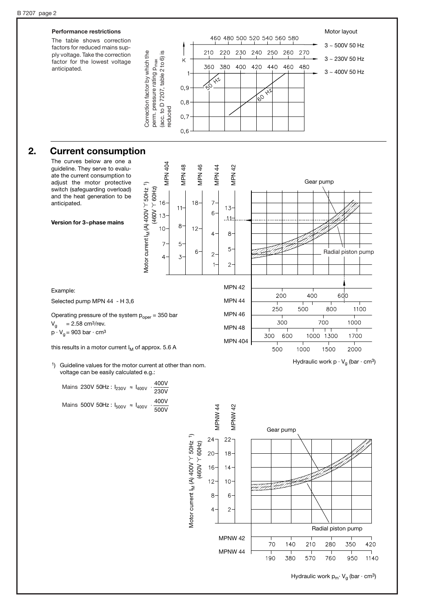

MPNW 44

70

190

140

380

210

570

760 Hydraulic work  $p_m$ · V<sub>q</sub> (bar · cm<sup>3</sup>)

280

350

950

420

1140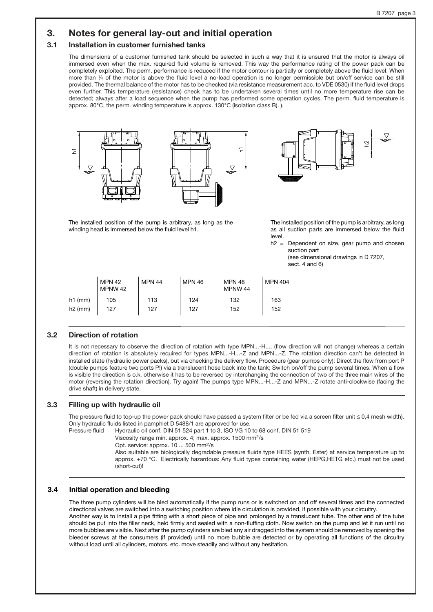# **3. Notes for general lay-out and initial operation**

### **3.1 Installation in customer furnished tanks**

The dimensions of a customer furnished tank should be selected in such a way that it is ensured that the motor is always oil immersed even when the max. required fluid volume is removed. This way the performance rating of the power pack can be completely exploited. The perm. performance is reduced if the motor contour is partially or completely above the fluid level. When more than 1/4 of the motor is above the fluid level a no-load operation is no longer permissible but on/off service can be still provided. The thermal balance of the motor has to be checked (via resistance measurement acc. to VDE 0530) if the fluid level drops even further. This temperature (resistance) check has to be undertaken several times until no more temperature rise can be detected; always after a load sequence when the pump has performed some operation cycles. The perm. fluid temperature is approx. 80°C, the perm. winding temperature is approx. 130°C (isolation class B). ).



The installed position of the pump is arbitrary, as long as the

winding head is immersed below the fluid level h1.

The installed position of the pump is arbitrary, as long as all suction parts are immersed below the fluid level.

 $h2$  = Dependent on size, gear pump and chosen suction part

(see dimensional drawings in D 7207, sect. 4 and 6)

|           | <b>MPN 42</b><br>MPNW 42 | <b>MPN 44</b> | <b>MPN 46</b> | <b>MPN 48</b><br>MPNW 44 | MPN 404 |
|-----------|--------------------------|---------------|---------------|--------------------------|---------|
| $h1$ (mm) | 105                      | 113           | 124           | 132                      | 163     |
| $h2$ (mm) | 127                      | 127           | 127           | 152                      | 152     |

#### **3.2 Direction of rotation**

It is not necessary to observe the direction of rotation with type MPN...-H..., (flow direction will not change) whereas a certain direction of rotation is absolutely required for types MPN...-H...-Z and MPN...-Z. The rotation direction can't be detected in installed state (hydraulic power packs), but via checking the delivery flow. Procedure (gear pumps only): Direct the flow from port P (double pumps feature two ports P!) via a translucent hose back into the tank; Switch on/off the pump several times. When a flow is visible the direction is o.k. otherwise it has to be reversed by interchanging the connection of two of the three main wires of the motor (reversing the rotation direction). Try again! The pumps type MPN...-H...-Z and MPN...-Z rotate anti-clockwise (facing the drive shaft) in delivery state.

#### **3.3 Filling up with hydraulic oil**

The pressure fluid to top-up the power pack should have passed a system filter or be fed via a screen filter unit ≤ 0,4 mesh width). Only hydraulic fluids listed in pamphlet D 5488/1 are approved for use.

Pressure fluid Hydraulic oil conf. DIN 51 524 part 1 to 3, ISO VG 10 to 68 conf. DIN 51 519

Viscosity range min. approx. 4; max. approx. 1500 mm2/s

Opt. service: approx. 10 ... 500 mm<sup>2</sup>/s

Also suitable are biologically degradable pressure fluids type HEES (synth. Ester) at service temperature up to approx. +70 °C. Electrically hazardous: Any fluid types containing water (HEPG,HETG etc.) must not be used (short-cut)!

### **3.4 Initial operation and bleeding**

The three pump cylinders will be bled automatically if the pump runs or is switched on and off several times and the connected directional valves are switched into a switching position where idle circulation is provided, if possible with your circuitry. Another way is to install a pipe fitting with a short piece of pipe and prolonged by a translucent tube. The other end of the tube should be put into the filler neck, held firmly and sealed with a non-fluffing cloth. Now switch on the pump and let it run until no more bubbles are visible. Next after the pump cylinders are bled any air dragged into the system should be removed by opening the bleeder screws at the consumers (if provided) until no more bubble are detected or by operating all functions of the circuitry without load until all cylinders, motors, etc. move steadily and without any hesitation.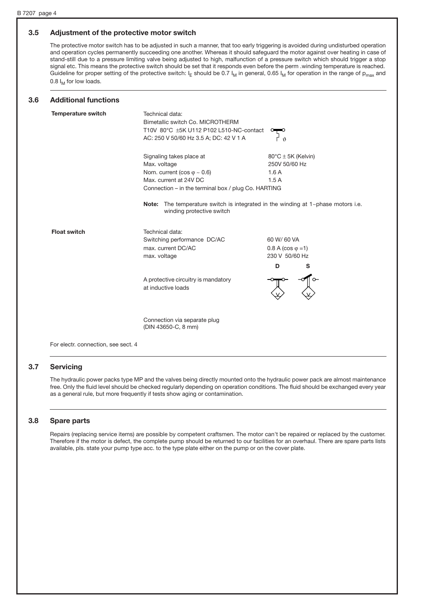#### **3.5 Adjustment of the protective motor switch**

The protective motor switch has to be adjusted in such a manner, that too early triggering is avoided during undisturbed operation and operation cycles permanently succeeding one another. Whereas it should safeguard the motor against over heating in case of stand-still due to a pressure limiting valve being adjusted to high, malfunction of a pressure switch which should trigger a stop signal etc. This means the protective switch should be set that it responds even before the perm .winding temperature is reached. Guideline for proper setting of the protective switch:  $I<sub>E</sub>$  should be 0.7  $I<sub>M</sub>$  in general, 0.65  $I<sub>M</sub>$  for operation in the range of p<sub>max</sub> and 0.8  $I_M$  for low loads.

#### **3.6 Additional functions**

| <b>Temperature switch</b> | Technical data:<br>Bimetallic switch Co. MICROTHERM<br>T10V 80°C ±5K U112 P102 L510-NC-contact<br>AC: 250 V 50/60 Hz 3.5 A; DC: 42 V 1 A                            | $\hat{v}$                                                            |  |  |  |  |
|---------------------------|---------------------------------------------------------------------------------------------------------------------------------------------------------------------|----------------------------------------------------------------------|--|--|--|--|
|                           | Signaling takes place at<br>Max. voltage<br>Nom. current (cos $\varphi \sim 0.6$ )<br>Max. current at 24V DC<br>Connection – in the terminal box / plug Co. HARTING | $80^{\circ}$ C $\pm$ 5K (Kelvin)<br>250V 50/60 Hz<br>1.6A<br>1.5A    |  |  |  |  |
|                           | The temperature switch is integrated in the winding at $1$ ~phase motors i.e.<br>Note:<br>winding protective switch                                                 |                                                                      |  |  |  |  |
| <b>Float switch</b>       | Technical data:<br>Switching performance DC/AC<br>max. current DC/AC<br>max. voltage                                                                                | 60 W/ 60 VA<br>$0.8 A (cos \varphi = 1)$<br>230 V 50/60 Hz<br>s<br>D |  |  |  |  |
|                           | A protective circuitry is mandatory<br>at inductive loads                                                                                                           |                                                                      |  |  |  |  |
|                           | Connection via separate plug<br>(DIN 43650-C, 8 mm)                                                                                                                 |                                                                      |  |  |  |  |

For electr. connection, see sect. 4

### **3.7 Servicing**

The hydraulic power packs type MP and the valves being directly mounted onto the hydraulic power pack are almost maintenance free. Only the fluid level should be checked regularly depending on operation conditions. The fluid should be exchanged every year as a general rule, but more frequently if tests show aging or contamination.

### **3.8 Spare parts**

Repairs (replacing service items) are possible by competent craftsmen. The motor can't be repaired or replaced by the customer. Therefore if the motor is defect, the complete pump should be returned to our facilities for an overhaul. There are spare parts lists available, pls. state your pump type acc. to the type plate either on the pump or on the cover plate.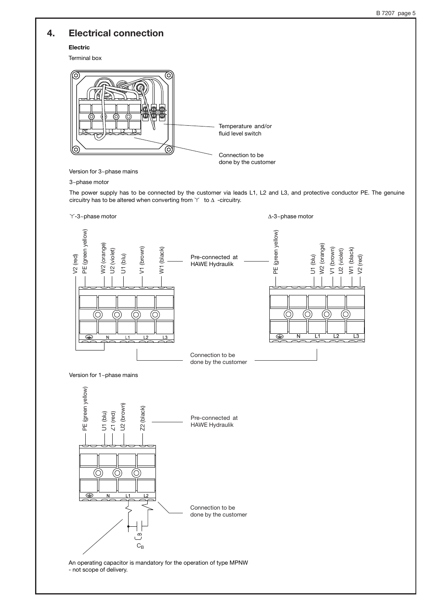# **4. Electrical connection**

**Electric** 

Terminal box



Version for 3~phase mains

#### 3~phase motor

The power supply has to be connected by the customer via leads L1, L2 and L3, and protective conductor PE. The genuine circuitry has to be altered when converting from  $\Upsilon$  to  $\Delta$  -circuitry.



An operating capacitor is mandatory for the operation of type MPNW - not scope of delivery.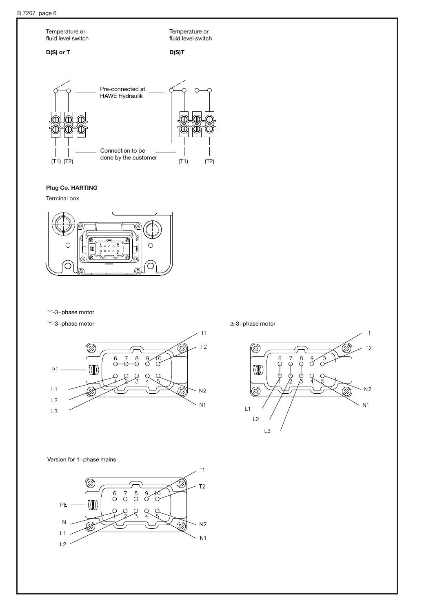

## **Plug Co. HARTING**

Terminal box



Y-3~phase motor

 $\sim$  1-3~phase motor  $\Delta$ -3~phase motor



B ⊗  $T<sub>2</sub>$  $\overset{6}{\varphi}$  $\overset{8}{\varphi}$ 10<br>0  $\vec{\varphi}$  $\sigma$  $\left(\begin{smallmatrix}\!1\!&\!0\!\\[-1mm] 1\!&\!1\end{smallmatrix}\right)$ ¢ d<br>Fi Ø)  $N<sub>2</sub>$ Œ,  $N<sub>1</sub>$ L1 L2 L3

 $T1$ 

Version for 1~phase mains